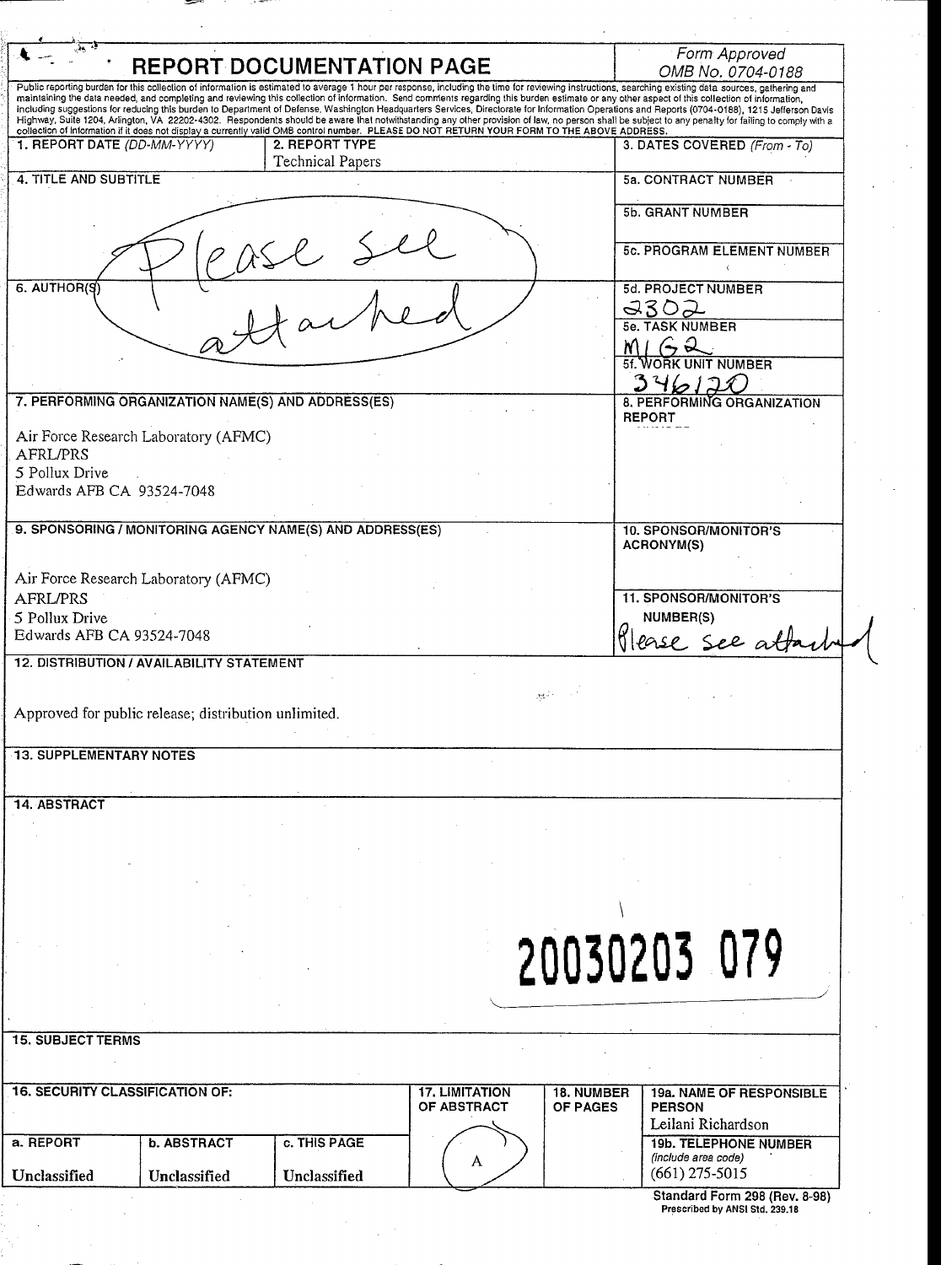| <b>REPORT DOCUMENTATION PAGE</b>                                                                                                                                                                                                                                                                                                                                                                 | Form Approved<br>OMB No. 0704-0188                                                       |
|--------------------------------------------------------------------------------------------------------------------------------------------------------------------------------------------------------------------------------------------------------------------------------------------------------------------------------------------------------------------------------------------------|------------------------------------------------------------------------------------------|
| Public reporting burden for this collection of information is estimated to average 1 hour per response, including the time for reviewing instructions, searching existing data sources, gathering and                                                                                                                                                                                            |                                                                                          |
| maintaining the data needed, and completing and reviewing this collection of information. Send comments regarding this burden estimate or any other aspect of this collection of information,<br>including suggestions for reducing this burden to Department of Defense, Washington Headquarters Services, Directorate for Information Operations and Reports (0704-0188), 1215 Jefferson Davis |                                                                                          |
| Highway, Suite 1204, Arlington, VA 22202-4302. Respondents should be aware that notwithstanding any other provision of law, no person shall be subject to any penalty for failing to comply with a<br>collection of information if it does not display a currently valid OMB control number. PLEASE DO NOT RETURN YOUR FORM TO THE ABOVE ADDRESS.                                                |                                                                                          |
| 1. REPORT DATE (DD-MM-YYYY)<br>2. REPORT TYPE<br>Technical Papers                                                                                                                                                                                                                                                                                                                                | 3. DATES COVERED (From - To)                                                             |
| 4. TITLE AND SUBTITLE                                                                                                                                                                                                                                                                                                                                                                            | <b>5a. CONTRACT NUMBER</b>                                                               |
|                                                                                                                                                                                                                                                                                                                                                                                                  | 5b. GRANT NUMBER                                                                         |
|                                                                                                                                                                                                                                                                                                                                                                                                  | <b>5c. PROGRAM ELEMENT NUMBER</b>                                                        |
| 6. AUTHOR(S                                                                                                                                                                                                                                                                                                                                                                                      | 5d. PROJECT NUMBER<br>9302                                                               |
|                                                                                                                                                                                                                                                                                                                                                                                                  | <b>TASK NUMBER</b>                                                                       |
|                                                                                                                                                                                                                                                                                                                                                                                                  | <b>UNIT NUMBER</b>                                                                       |
|                                                                                                                                                                                                                                                                                                                                                                                                  |                                                                                          |
| 7. PERFORMING ORGANIZATION NAME(S) AND ADDRESS(ES)                                                                                                                                                                                                                                                                                                                                               | 8. PERFORMING ORGANIZATION<br><b>REPORT</b>                                              |
| Air Force Research Laboratory (AFMC)<br>AFRL/PRS                                                                                                                                                                                                                                                                                                                                                 |                                                                                          |
| 5 Pollux Drive                                                                                                                                                                                                                                                                                                                                                                                   |                                                                                          |
| Edwards AFB CA 93524-7048                                                                                                                                                                                                                                                                                                                                                                        |                                                                                          |
| 9. SPONSORING / MONITORING AGENCY NAME(S) AND ADDRESS(ES)                                                                                                                                                                                                                                                                                                                                        | 10. SPONSOR/MONITOR'S<br><b>ACRONYM(S)</b>                                               |
| Air Force Research Laboratory (AFMC)                                                                                                                                                                                                                                                                                                                                                             |                                                                                          |
| AFRL/PRS                                                                                                                                                                                                                                                                                                                                                                                         | <b>11. SPONSOR/MONITOR'S</b>                                                             |
| 5 Pollux Drive<br>Edwards AFB CA 93524-7048                                                                                                                                                                                                                                                                                                                                                      | NUMBER(S)<br>ease see atto                                                               |
| <b>12. DISTRIBUTION / AVAILABILITY STATEMENT</b>                                                                                                                                                                                                                                                                                                                                                 |                                                                                          |
| $\mathcal{G}(\mathbf{g},\mathbf{g})$ .                                                                                                                                                                                                                                                                                                                                                           |                                                                                          |
| Approved for public release; distribution unlimited.                                                                                                                                                                                                                                                                                                                                             |                                                                                          |
|                                                                                                                                                                                                                                                                                                                                                                                                  |                                                                                          |
|                                                                                                                                                                                                                                                                                                                                                                                                  |                                                                                          |
|                                                                                                                                                                                                                                                                                                                                                                                                  |                                                                                          |
|                                                                                                                                                                                                                                                                                                                                                                                                  |                                                                                          |
| <b>13. SUPPLEMENTARY NOTES</b><br><b>14. ABSTRACT</b>                                                                                                                                                                                                                                                                                                                                            |                                                                                          |
|                                                                                                                                                                                                                                                                                                                                                                                                  |                                                                                          |
|                                                                                                                                                                                                                                                                                                                                                                                                  |                                                                                          |
|                                                                                                                                                                                                                                                                                                                                                                                                  |                                                                                          |
|                                                                                                                                                                                                                                                                                                                                                                                                  | 20030203 079                                                                             |
|                                                                                                                                                                                                                                                                                                                                                                                                  |                                                                                          |
|                                                                                                                                                                                                                                                                                                                                                                                                  |                                                                                          |
|                                                                                                                                                                                                                                                                                                                                                                                                  |                                                                                          |
| <b>17. LIMITATION</b><br>OF ABSTRACT                                                                                                                                                                                                                                                                                                                                                             | <b>18. NUMBER</b><br><b>19a. NAME OF RESPONSIBLE</b><br><b>OF PAGES</b><br><b>PERSON</b> |
| <b>15. SUBJECT TERMS</b><br><b>16. SECURITY CLASSIFICATION OF:</b><br><b>b. ABSTRACT</b><br>c. THIS PAGE<br>a. REPORT                                                                                                                                                                                                                                                                            | Leilani Richardson<br><b>19b. TELEPHONE NUMBER</b>                                       |
| A<br>Unclassified<br>Unclassified<br>Unclassified                                                                                                                                                                                                                                                                                                                                                | (include area code)<br>$(661)$ 275-5015                                                  |

 $\bar{z}$  $\overline{\phantom{a}}$ 

 $\bar{\bar{z}}$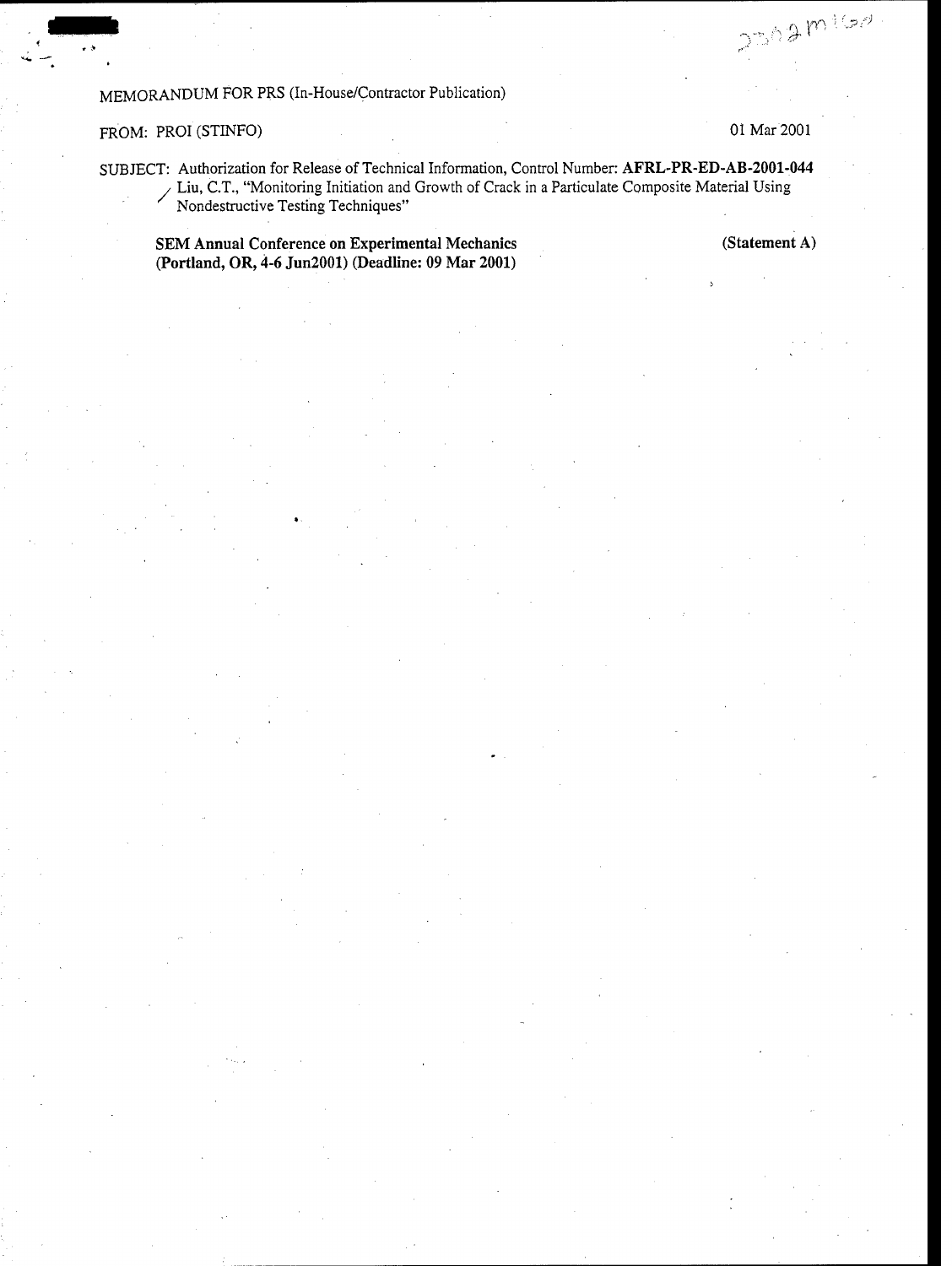# MEMORANDUM FOR PRS (In-House/Contractor Publication)

#### FROM: PROI (STINFO) **01** Mar 2001

**m**

 $2502 m100$ 

SUBJECT: Authorization for Release of Technical Information, Control Number: AFRL-PR-ED-AB-2001-044 Liu, C.T., "Monitoring Initiation and Growth of Crack in a Particulate Composite Material Using Nondestructive Testing Techniques"

**SEM** Annual Conference on Experimental Mechanics (Statement **A)** (Portland, OR, 4-6 Jun2001) (Deadline: **09** Mar 2001)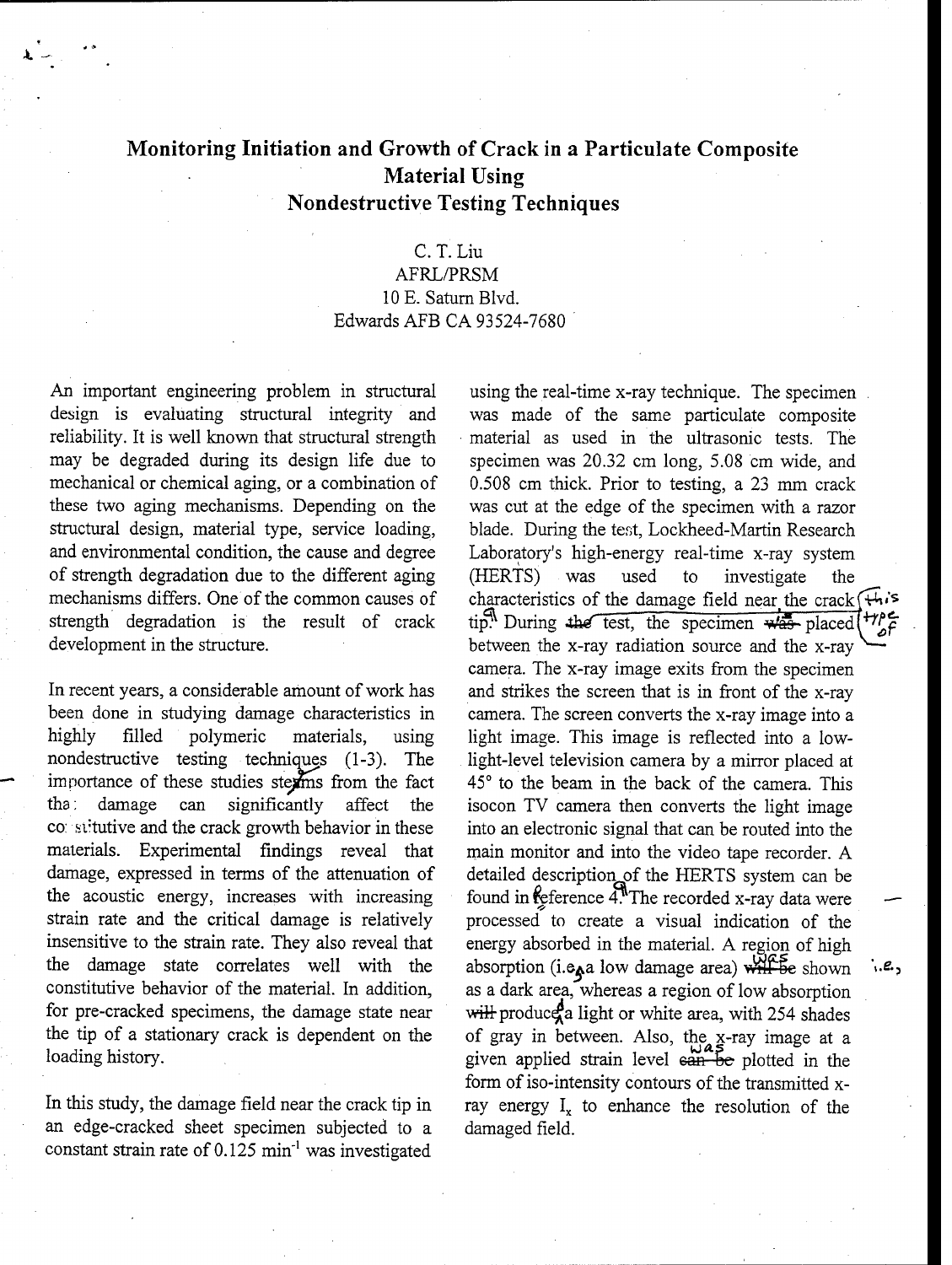# Monitoring Initiation and Growth of Crack in a Particulate Composite Material Using Nondestructive Testing Techniques

### C. T. Liu

### AFRL/PRSM 10 **E.** Saturn Blvd. Edwards AFB CA 93524-7680

An important engineering problem in structural using the real-time x-ray technique. The specimen design is evaluating structural integrity and was made of the same particulate composite reliability. It is well known that structural strength material as used in the ultrasonic tests. The may be degraded during its design life due to specimen was 20.32 cm long, 5.08 cm wide, and these two aging mechanisms. Depending on the was cut at the edge of the specimen with a razor structural design, material type, service loading, blade. During the test, Lockheed-Martin Research and environmental condition, the cause and degree Laboratory's high-energy real-time x-ray system of strength degradation due to the different aging (HERTS) was used to investigate the strength degradation is the result of crack tip. During the test, the specimen  $\frac{1}{2}$  placed development in the structure. between the x-ray radiation source and the x-ray

In recent years, a considerable amount of work has and strikes the screen that is in front of the x-ray been done in studying damage characteristics in camera. The screen converts the x-ray image into a highly filled polymeric materials, using light image. This image is reflected into a lownondestructive testing techniques (1-3). The light-level television camera by a mirror placed at importance of these studies stext from the fact 45<sup>°</sup> to the beam in the back of the camera. This tha; damage can significantly affect the isocon TV camera then converts the light image co: stitutive and the crack growth behavior in these into an electronic signal that can be routed into the materials. Experimental findings reveal that main monitor and into the video tape recorder. A damage, expressed in terms of the attenuation of detailed description of the HERTS system can be the acoustic energy, increases with increasing found in reference  $4$ . The recorded x-ray data were strain rate and the critical damage is relatively processed to create a visual indication of the insensitive to the strain rate. They also reveal that energy absorbed in the material. A region of high for pre-cracked specimens, the damage state near will produce a light or white area, with 254 shades the tip of a stationary crack is dependent on the of gray in between. Also, the x-ray image at a

an edge-cracked sheet specimen subjected to a damaged field. constant strain rate of  $0.125$  min<sup>-1</sup> was investigated

mechanical or chemical aging, or a combination of 0.508 cm thick. Prior to testing, a 23 mm crack mechanisms differs. One of the common causes of characteristics of the damage field near the crack  $\overline{f_{\uparrow}}$ camera. The x-ray image exits from the specimen the damage state correlates well with the absorption (i.e. a low damage area)  $\overrightarrow{WHF}$  be shown  $\cdot$  constitutive behavior of the material. In addition, as a dark area, whereas a region of low absorption loading history. The loading history. The plotted in the plotted in the plotted in the plotted in the plotted in the plotted in the plotted in the plotted in the plotted in the plotted in the plotted in the plotted in the form of iso-intensity contours of the transmitted x-In this study, the damage field near the crack tip in ray energy  $I_x$  to enhance the resolution of the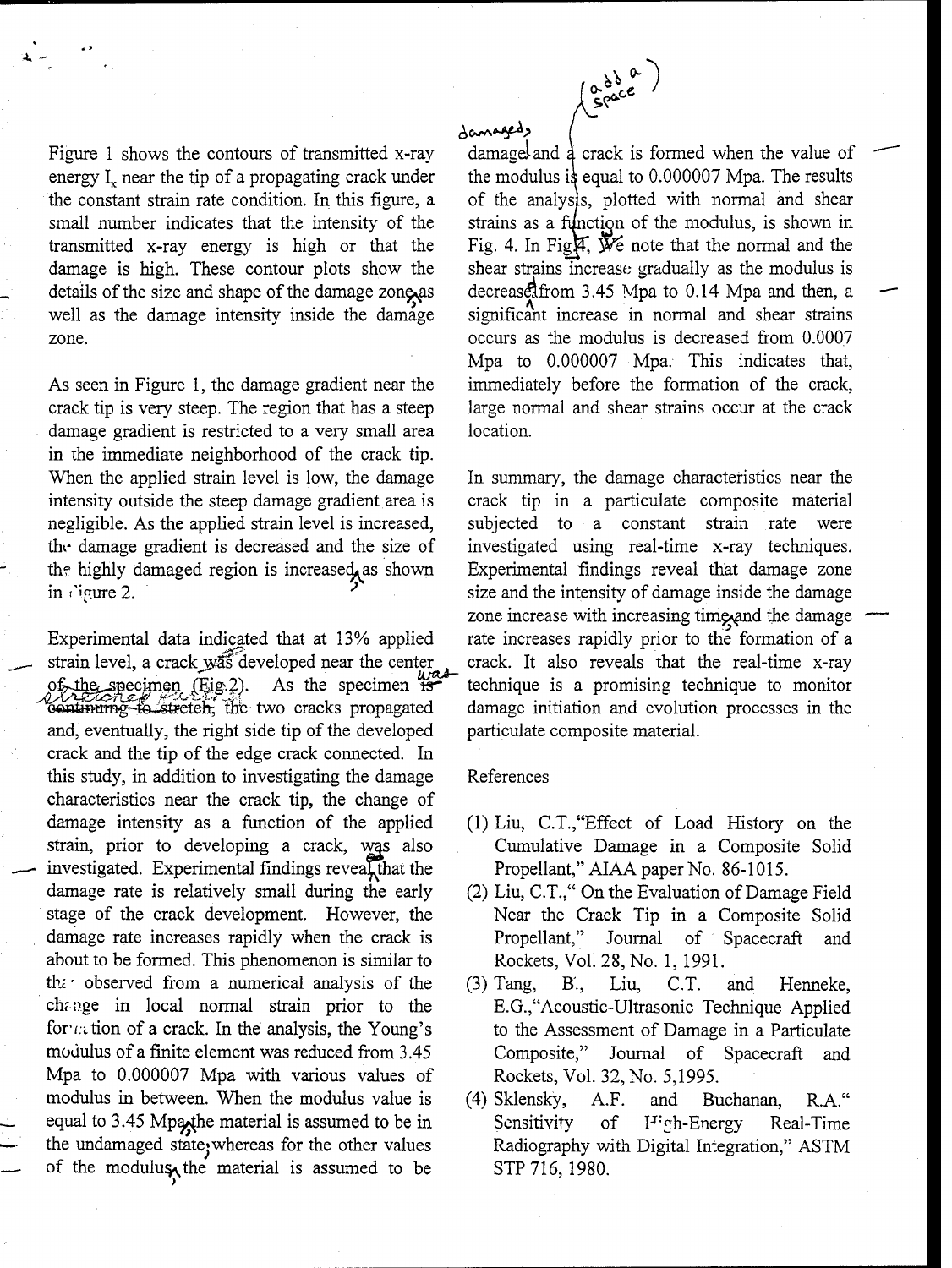

# damagedy

energy  $I_x$  near the tip of a propagating crack under the modulus is equal to 0.000007 Mpa. The results the constant strain rate condition. In this figure, a of the analysis, plotted with normal and shear small number indicates that the intensity of the strains as a function of the modulus, is shown in transmitted x-ray energy is high or that the Fig. 4. In Fig.  $\tilde{\psi}$  mote that the normal and the damage is high. These contour plots show the shear strains increase; gradually as the modulus is details of the size and shape of the damage zone as decrease form 3.45 Mpa to 0.14 Mpa and then, a well as the damage intensity inside the damage significant increase in normal and shear strains zone. **Example 2018** 2018 2018 2018 2019 2021 2022 2022 2023 2024 2022 2022 2023 2024 2022 2023 2024 2022 2023 20

crack tip is very steep. The region that has a steep large normal and shear strains occur at the crack damage gradient is restricted to a very small area location. in the immediate neighborhood of the crack tip. When the applied strain level is low, the damage In summary, the damage characteristics near the intensity outside the steep damage gradient area is crack tip in a particulate composite material negligible. As the applied strain level is increased, subjected to a constant strain rate were the damage gradient is decreased and the size of investigated using real-time x-ray techniques. the highly damaged region is increased as shown Experimental findings reveal that damage zone in rigure 2.  $\blacksquare$  size and the intensity of damage inside the damage

Experimental data indicated that at 13% applied rate increases rapidly prior to the formation of a strain level, a crack was developed near the center crack. It also reveals that the real-time x-ray of the specimen (Eig.2). As the specimen  $\mathbb{R}^{\infty}$  technique is a promising technique to monitor continume to stretch, the two cracks propagated damage initiation and evolution processes in the and, eventually, the right side tip of the developed particulate composite material. crack and the tip of the edge crack connected. In this study, in addition to investigating the damage References characteristics near the crack tip, the change of damage intensity as a function of the applied (1) Liu, C.T.,"Effect of Load History on the strain, prior to developing a crack, was also Cumulative Damage in a Composite Solid investigated. Experimental findings reveal that the Propellant," AIAA paper No. 86-1015. damage rate is relatively small during the early (2) Liu, C.T.," On the Evaluation of Damage Field stage of the crack development. However, the Near the Crack Tip in a Composite Solid damage rate increases rapidly when the crack is Tropellant," Journal of Spacecraft and about to be formed. This phenomenon is similar to Rockets, Vol. 28, No. 1, 1991. the observed from a numerical analysis of the  $(3)$  Tang, B., Liu, C.T. and Henneke, change in local normal strain prior to the E.G., Acoustic-Ultrasonic Technique Applied for  $\alpha$  tion of a crack. In the analysis, the Young's to the Assessment of Damage in a Particulate modulus of a finite element was reduced from 3.45 Composite," Journal of Spacecraft and Mpa to 0.000007 Mpa with various values of Rockets, Vol. 32, No. 5,1995. modulus in between. When the modulus value is (4) Sklensky, A.F. and Buchanan, R.A." equal to 3.45 Mpa<sub>x</sub> the material is assumed to be in Sensitivity of I<sup>T</sup>-ch-Energy Real-Time the undamaged state; whereas for the other values Radiography with Digital Integration," ASTM of the modulus, the material is assumed to be STP 716, 1980.

Figure 1 shows the contours of transmitted x-ray damage and  $\frac{1}{4}$  crack is formed when the value of Mpa to 0.000007 Mpa. This indicates that, As seen in Figure 1, the damage gradient near the immediately before the formation of the crack,

zone increase with increasing time and the damage

- 
- 
- 
-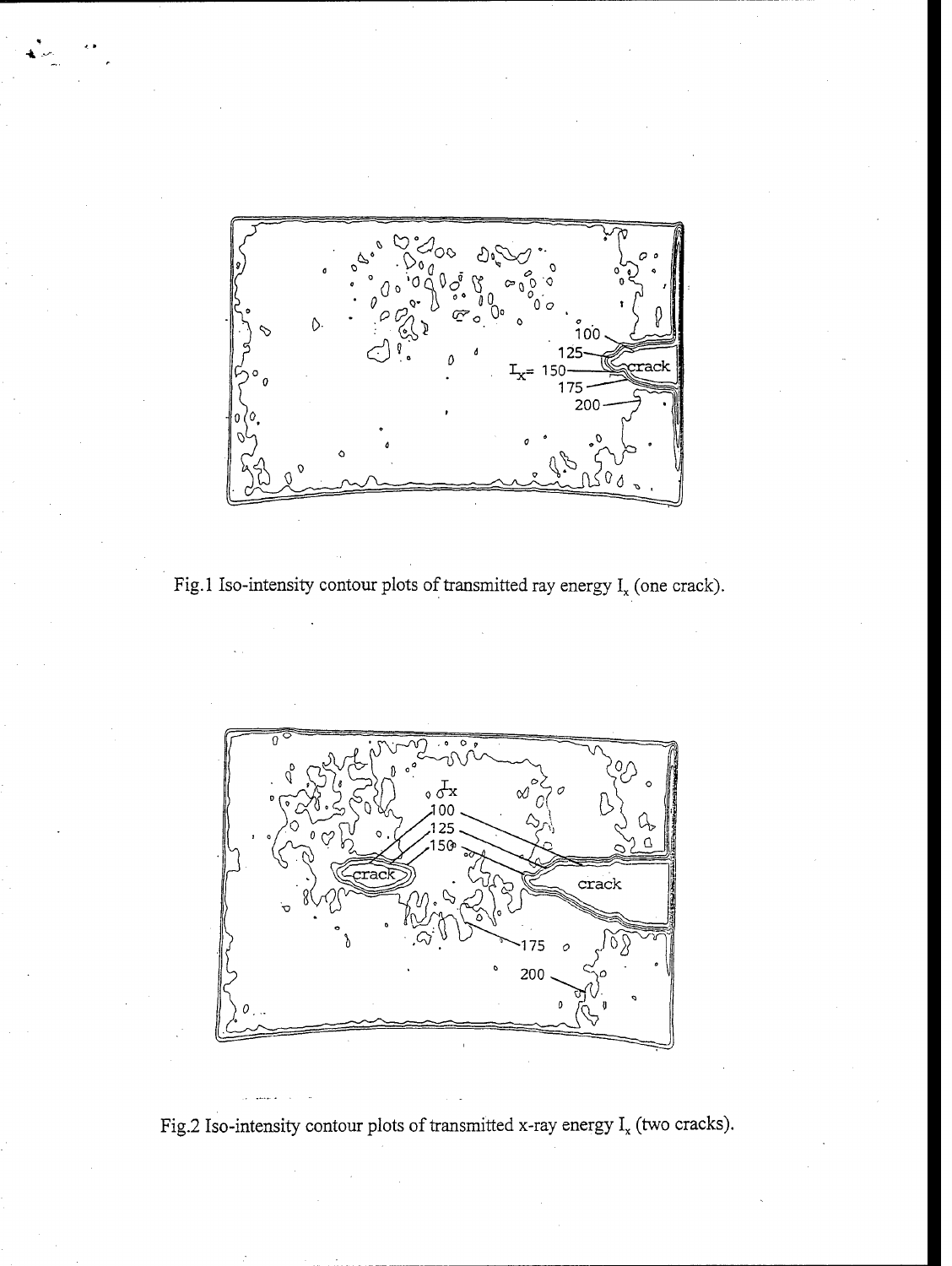

Fig.1 Iso-intensity contour plots of transmitted ray energy  $I_x$  (one crack).



Fig.2 Iso-intensity contour plots of transmitted x-ray energy  $I_x$  (two cracks).